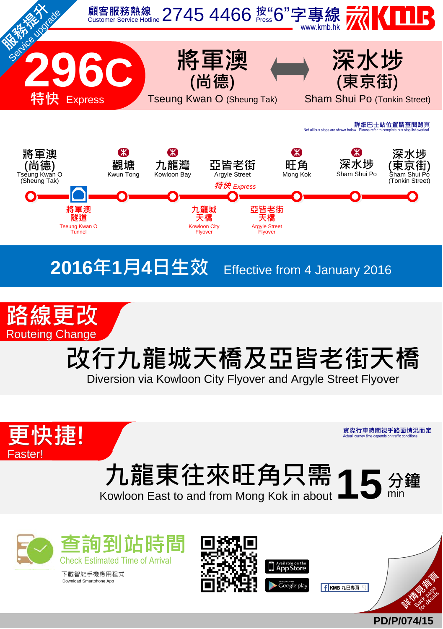



# 改行九龍城天橋及亞皆老街天橋

Diversion via Kowloon City Flyover and Argyle Street Flyover



實際行車時間視乎路面情況而定 Actual journey time depends on traffic conditions

# 九龍東往來旺角只需15分鐘